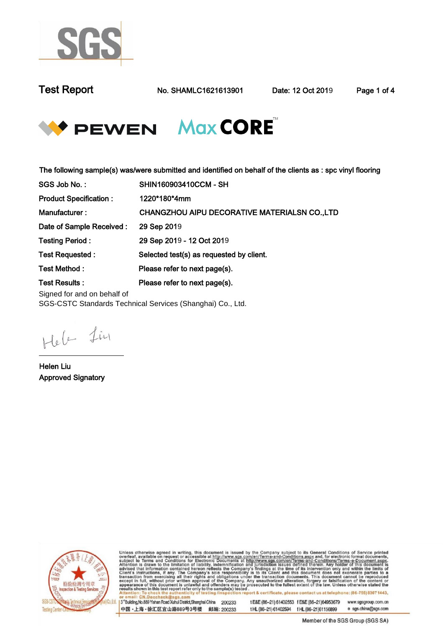

Test Report **No. SHAMLC1621613901** Date: 12 Oct 2019 Page 1 of 4



The following sample(s) was/were submitted and identified on behalf of the clients as : spc vinyl flooring

| SGS Job No.:                  | <b>SHIN160903410CCM - SH</b>                  |
|-------------------------------|-----------------------------------------------|
| <b>Product Specification:</b> | 1220*180*4mm                                  |
| Manufacturer:                 | CHANGZHOU AIPU DECORATIVE MATERIALSN CO., LTD |
| Date of Sample Received:      | 29 Sep 2019                                   |
| <b>Testing Period:</b>        | 29 Sep 2019 - 12 Oct 2019                     |
| <b>Test Requested:</b>        | Selected test(s) as requested by client.      |
| Test Method:                  | Please refer to next page(s).                 |
| <b>Test Results:</b>          | Please refer to next page(s).                 |

Signed for and on behalf of SGS-CSTC Standards Technical Services (Shanghai) Co., Ltd..

Heb Lin

Approved Signatory. Helen Liu.



Unless otherwise agreed in writing, this document is issued by the Company subject to its General Conditions of Service printed<br>overleaf, available on request or accessible at http://www.sgs.com/en/Terms-and-Conditions.asp ion report & certificate, please contact us at telephone: (86-755) 8307 1443, ity of testing /ins

3<sup>14</sup>Building, No.889 Yishan Road Xuhui District, Shanghai China 200233 中国·上海·徐汇区宜山路889号3号楼 邮编: 200233 tE&E (86-21) 61402553 fE&E (86-21)64953679 www.sgsgroup.com.cn tHL (86-21) 61402594 fHL (86-21) 61156899 e sgs.china@sgs.com

Member of the SGS Group (SGS SA)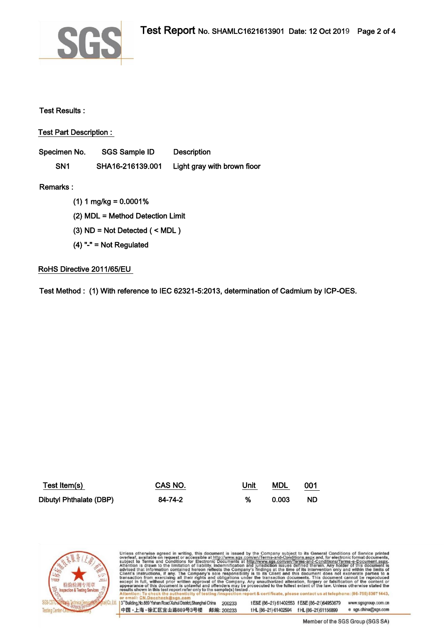

Test Results :.

Test Part Description :.

| Specimen No.    | SGS Sample ID    | <b>Description</b>          |
|-----------------|------------------|-----------------------------|
| SN <sub>1</sub> | SHA16-216139.001 | Light gray with brown fioor |

Remarks :

- $(1)$  1 mg/kg = 0.0001%
- (2) MDL = Method Detection Limit.
- (3)  $ND = Not$  Detected ( < MDL)
- $(4)$  "-" = Not Regulated

## RoHS Directive 2011/65/EU.

Test Method : (1) With reference to IEC 62321-5:2013, determination of Cadmium by ICP-OES.

| Test Item(s)            | CAS NO. | Unit | MDL   | 001<br><u>in the community of the community of the community of the community of the community of the community of the community of the community of the community of the community of the community of the community of the community </u> |
|-------------------------|---------|------|-------|---------------------------------------------------------------------------------------------------------------------------------------------------------------------------------------------------------------------------------------------|
| Dibutyl Phthalate (DBP) | 84-74-2 | %    | 0.003 | <b>ND</b>                                                                                                                                                                                                                                   |



Unless otherwise agreed in writing, this document is issued by the Company subject to its General Conditions of Service printed<br>overleaf, available on request or accessible at http://www.sgs.com/en/Terms-and-Conditions.asp 3<sup>14</sup>Building, No.889 Yishan Road Xuhui District, Shanghai China 200233 t E&E (86-21) 61402553 f E&E (86-21)64953679 www.sgsgroup.com.cn

中国·上海·徐汇区宜山路889号3号楼 邮编: 200233 tHL (86-21) 61402594 fHL (86-21) 61156899

Member of the SGS Group (SGS SA)

e sgs.china@sgs.com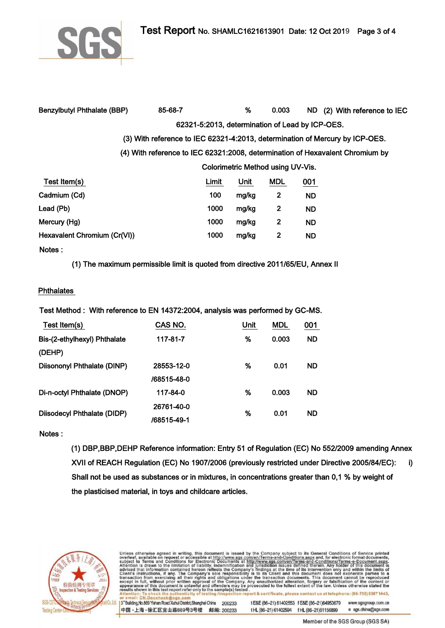

| <b>Benzylbutyl Phthalate (BBP)</b> | 85-68-7 |                                                 | %                                 | 0.003          |           | ND (2) With reference to IEC                                                  |
|------------------------------------|---------|-------------------------------------------------|-----------------------------------|----------------|-----------|-------------------------------------------------------------------------------|
|                                    |         | 62321-5:2013, determination of Lead by ICP-OES. |                                   |                |           |                                                                               |
|                                    |         |                                                 |                                   |                |           | (3) With reference to IEC 62321-4:2013, determination of Mercury by ICP-OES.  |
|                                    |         |                                                 |                                   |                |           | (4) With reference to IEC 62321:2008, determination of Hexavalent Chromium by |
|                                    |         |                                                 | Colorimetric Method using UV-Vis. |                |           |                                                                               |
| Test Item(s)                       |         | Limit                                           | Unit                              | <b>MDL</b>     | 001       |                                                                               |
| Cadmium (Cd)                       |         | 100                                             | mg/kg                             | $\overline{2}$ | <b>ND</b> |                                                                               |
| Lead (Pb)                          |         | 1000                                            | mg/kg                             | $\mathbf{2}$   | <b>ND</b> |                                                                               |
| Mercury (Hg)                       |         | 1000                                            | mg/kg                             | $\mathbf{2}$   | <b>ND</b> |                                                                               |
| Hexavalent Chromium (Cr(VI))       |         | 1000                                            | mg/kg                             | 2              | <b>ND</b> |                                                                               |

Notes :

(1) The maximum permissible limit is quoted from directive 2011/65/EU, Annex II.

## **Phthalates**

Test Method : With reference to EN 14372:2004, analysis was performed by GC-MS.

| Test Item(s)                 | CAS NO.     | Unit | <b>MDL</b> | 001       |
|------------------------------|-------------|------|------------|-----------|
| Bis-(2-ethylhexyl) Phthalate | 117-81-7    | %    | 0.003      | <b>ND</b> |
| (DEHP)                       |             |      |            |           |
| Diisononyl Phthalate (DINP)  | 28553-12-0  | %    | 0.01       | <b>ND</b> |
|                              | /68515-48-0 |      |            |           |
| Di-n-octyl Phthalate (DNOP)  | 117-84-0    | ℅    | 0.003      | <b>ND</b> |
|                              | 26761-40-0  |      | 0.01       | <b>ND</b> |
| Diisodecyl Phthalate (DIDP)  | /68515-49-1 | %    |            |           |

Notes :

(1) DBP,BBP,DEHP Reference information: Entry 51 of Regulation (EC) No 552/2009 amending Annex XVII of REACH Regulation (EC) No 1907/2006 (previously restricted under Directive 2005/84/EC): i) Shall not be used as substances or in mixtures, in concentrations greater than 0,1 % by weight of the plasticised material, in toys and childcare articles.



Unless otherwise agreed in writing, this document is issued by the Company subject to its General Conditions of Service printed overleaf, available on request or accessible at http://www.sgs.com/en/Terms-and-Conditions.as on report & certificate, please contact us at telephone: (86-755) 8307 1443,

3<sup>14</sup>Building, No.889 Yishan Road Xuhui District, Shanghai China 200233 中国·上海·徐汇区宜山路889号3号楼 邮编: 200233

tE&E (86-21) 61402553 fE&E (86-21)64953679 www.sgsgroup.com.cn t HL (86-21) 61402594 f HL (86-21) 61156899 e sgs.china@sgs.com